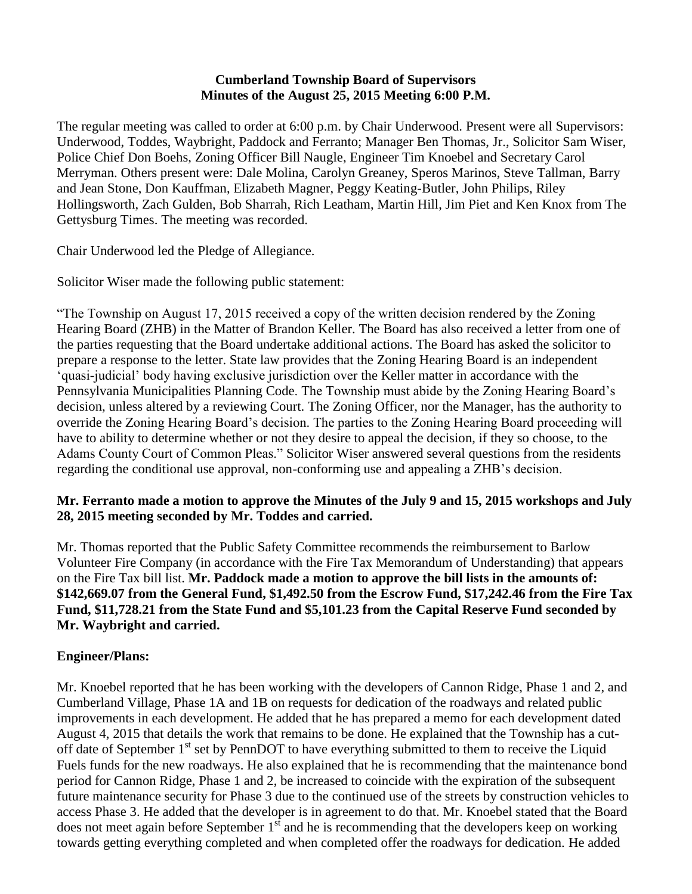### **Cumberland Township Board of Supervisors Minutes of the August 25, 2015 Meeting 6:00 P.M.**

The regular meeting was called to order at 6:00 p.m. by Chair Underwood. Present were all Supervisors: Underwood, Toddes, Waybright, Paddock and Ferranto; Manager Ben Thomas, Jr., Solicitor Sam Wiser, Police Chief Don Boehs, Zoning Officer Bill Naugle, Engineer Tim Knoebel and Secretary Carol Merryman. Others present were: Dale Molina, Carolyn Greaney, Speros Marinos, Steve Tallman, Barry and Jean Stone, Don Kauffman, Elizabeth Magner, Peggy Keating-Butler, John Philips, Riley Hollingsworth, Zach Gulden, Bob Sharrah, Rich Leatham, Martin Hill, Jim Piet and Ken Knox from The Gettysburg Times. The meeting was recorded.

Chair Underwood led the Pledge of Allegiance.

Solicitor Wiser made the following public statement:

"The Township on August 17, 2015 received a copy of the written decision rendered by the Zoning Hearing Board (ZHB) in the Matter of Brandon Keller. The Board has also received a letter from one of the parties requesting that the Board undertake additional actions. The Board has asked the solicitor to prepare a response to the letter. State law provides that the Zoning Hearing Board is an independent 'quasi-judicial' body having exclusive jurisdiction over the Keller matter in accordance with the Pennsylvania Municipalities Planning Code. The Township must abide by the Zoning Hearing Board's decision, unless altered by a reviewing Court. The Zoning Officer, nor the Manager, has the authority to override the Zoning Hearing Board's decision. The parties to the Zoning Hearing Board proceeding will have to ability to determine whether or not they desire to appeal the decision, if they so choose, to the Adams County Court of Common Pleas." Solicitor Wiser answered several questions from the residents regarding the conditional use approval, non-conforming use and appealing a ZHB's decision.

## **Mr. Ferranto made a motion to approve the Minutes of the July 9 and 15, 2015 workshops and July 28, 2015 meeting seconded by Mr. Toddes and carried.**

Mr. Thomas reported that the Public Safety Committee recommends the reimbursement to Barlow Volunteer Fire Company (in accordance with the Fire Tax Memorandum of Understanding) that appears on the Fire Tax bill list. **Mr. Paddock made a motion to approve the bill lists in the amounts of: \$142,669.07 from the General Fund, \$1,492.50 from the Escrow Fund, \$17,242.46 from the Fire Tax Fund, \$11,728.21 from the State Fund and \$5,101.23 from the Capital Reserve Fund seconded by Mr. Waybright and carried.**

## **Engineer/Plans:**

Mr. Knoebel reported that he has been working with the developers of Cannon Ridge, Phase 1 and 2, and Cumberland Village, Phase 1A and 1B on requests for dedication of the roadways and related public improvements in each development. He added that he has prepared a memo for each development dated August 4, 2015 that details the work that remains to be done. He explained that the Township has a cutoff date of September 1<sup>st</sup> set by PennDOT to have everything submitted to them to receive the Liquid Fuels funds for the new roadways. He also explained that he is recommending that the maintenance bond period for Cannon Ridge, Phase 1 and 2, be increased to coincide with the expiration of the subsequent future maintenance security for Phase 3 due to the continued use of the streets by construction vehicles to access Phase 3. He added that the developer is in agreement to do that. Mr. Knoebel stated that the Board does not meet again before September  $1<sup>st</sup>$  and he is recommending that the developers keep on working towards getting everything completed and when completed offer the roadways for dedication. He added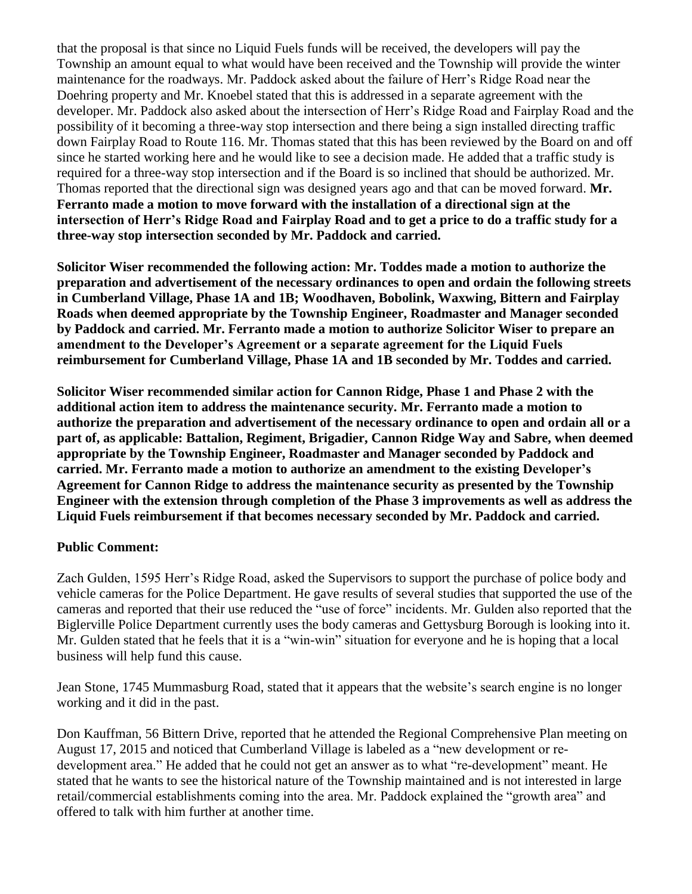that the proposal is that since no Liquid Fuels funds will be received, the developers will pay the Township an amount equal to what would have been received and the Township will provide the winter maintenance for the roadways. Mr. Paddock asked about the failure of Herr's Ridge Road near the Doehring property and Mr. Knoebel stated that this is addressed in a separate agreement with the developer. Mr. Paddock also asked about the intersection of Herr's Ridge Road and Fairplay Road and the possibility of it becoming a three-way stop intersection and there being a sign installed directing traffic down Fairplay Road to Route 116. Mr. Thomas stated that this has been reviewed by the Board on and off since he started working here and he would like to see a decision made. He added that a traffic study is required for a three-way stop intersection and if the Board is so inclined that should be authorized. Mr. Thomas reported that the directional sign was designed years ago and that can be moved forward. **Mr. Ferranto made a motion to move forward with the installation of a directional sign at the intersection of Herr's Ridge Road and Fairplay Road and to get a price to do a traffic study for a three-way stop intersection seconded by Mr. Paddock and carried.** 

**Solicitor Wiser recommended the following action: Mr. Toddes made a motion to authorize the preparation and advertisement of the necessary ordinances to open and ordain the following streets in Cumberland Village, Phase 1A and 1B; Woodhaven, Bobolink, Waxwing, Bittern and Fairplay Roads when deemed appropriate by the Township Engineer, Roadmaster and Manager seconded by Paddock and carried. Mr. Ferranto made a motion to authorize Solicitor Wiser to prepare an amendment to the Developer's Agreement or a separate agreement for the Liquid Fuels reimbursement for Cumberland Village, Phase 1A and 1B seconded by Mr. Toddes and carried.** 

**Solicitor Wiser recommended similar action for Cannon Ridge, Phase 1 and Phase 2 with the additional action item to address the maintenance security. Mr. Ferranto made a motion to authorize the preparation and advertisement of the necessary ordinance to open and ordain all or a part of, as applicable: Battalion, Regiment, Brigadier, Cannon Ridge Way and Sabre, when deemed appropriate by the Township Engineer, Roadmaster and Manager seconded by Paddock and carried. Mr. Ferranto made a motion to authorize an amendment to the existing Developer's Agreement for Cannon Ridge to address the maintenance security as presented by the Township Engineer with the extension through completion of the Phase 3 improvements as well as address the Liquid Fuels reimbursement if that becomes necessary seconded by Mr. Paddock and carried.** 

## **Public Comment:**

Zach Gulden, 1595 Herr's Ridge Road, asked the Supervisors to support the purchase of police body and vehicle cameras for the Police Department. He gave results of several studies that supported the use of the cameras and reported that their use reduced the "use of force" incidents. Mr. Gulden also reported that the Biglerville Police Department currently uses the body cameras and Gettysburg Borough is looking into it. Mr. Gulden stated that he feels that it is a "win-win" situation for everyone and he is hoping that a local business will help fund this cause.

Jean Stone, 1745 Mummasburg Road, stated that it appears that the website's search engine is no longer working and it did in the past.

Don Kauffman, 56 Bittern Drive, reported that he attended the Regional Comprehensive Plan meeting on August 17, 2015 and noticed that Cumberland Village is labeled as a "new development or redevelopment area." He added that he could not get an answer as to what "re-development" meant. He stated that he wants to see the historical nature of the Township maintained and is not interested in large retail/commercial establishments coming into the area. Mr. Paddock explained the "growth area" and offered to talk with him further at another time.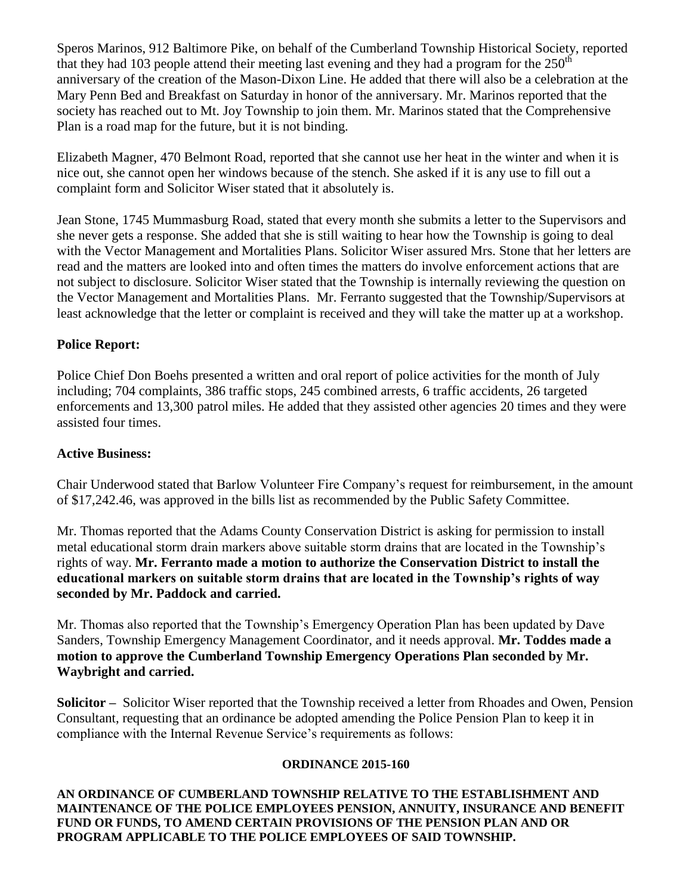Speros Marinos, 912 Baltimore Pike, on behalf of the Cumberland Township Historical Society, reported that they had 103 people attend their meeting last evening and they had a program for the  $250<sup>th</sup>$ anniversary of the creation of the Mason-Dixon Line. He added that there will also be a celebration at the Mary Penn Bed and Breakfast on Saturday in honor of the anniversary. Mr. Marinos reported that the society has reached out to Mt. Joy Township to join them. Mr. Marinos stated that the Comprehensive Plan is a road map for the future, but it is not binding.

Elizabeth Magner, 470 Belmont Road, reported that she cannot use her heat in the winter and when it is nice out, she cannot open her windows because of the stench. She asked if it is any use to fill out a complaint form and Solicitor Wiser stated that it absolutely is.

Jean Stone, 1745 Mummasburg Road, stated that every month she submits a letter to the Supervisors and she never gets a response. She added that she is still waiting to hear how the Township is going to deal with the Vector Management and Mortalities Plans. Solicitor Wiser assured Mrs. Stone that her letters are read and the matters are looked into and often times the matters do involve enforcement actions that are not subject to disclosure. Solicitor Wiser stated that the Township is internally reviewing the question on the Vector Management and Mortalities Plans. Mr. Ferranto suggested that the Township/Supervisors at least acknowledge that the letter or complaint is received and they will take the matter up at a workshop.

# **Police Report:**

Police Chief Don Boehs presented a written and oral report of police activities for the month of July including; 704 complaints, 386 traffic stops, 245 combined arrests, 6 traffic accidents, 26 targeted enforcements and 13,300 patrol miles. He added that they assisted other agencies 20 times and they were assisted four times.

# **Active Business:**

Chair Underwood stated that Barlow Volunteer Fire Company's request for reimbursement, in the amount of \$17,242.46, was approved in the bills list as recommended by the Public Safety Committee.

Mr. Thomas reported that the Adams County Conservation District is asking for permission to install metal educational storm drain markers above suitable storm drains that are located in the Township's rights of way. **Mr. Ferranto made a motion to authorize the Conservation District to install the educational markers on suitable storm drains that are located in the Township's rights of way seconded by Mr. Paddock and carried.**

Mr. Thomas also reported that the Township's Emergency Operation Plan has been updated by Dave Sanders, Township Emergency Management Coordinator, and it needs approval. **Mr. Toddes made a motion to approve the Cumberland Township Emergency Operations Plan seconded by Mr. Waybright and carried.**

**Solicitor –** Solicitor Wiser reported that the Township received a letter from Rhoades and Owen, Pension Consultant, requesting that an ordinance be adopted amending the Police Pension Plan to keep it in compliance with the Internal Revenue Service's requirements as follows:

### **ORDINANCE 2015-160**

**AN ORDINANCE OF CUMBERLAND TOWNSHIP RELATIVE TO THE ESTABLISHMENT AND MAINTENANCE OF THE POLICE EMPLOYEES PENSION, ANNUITY, INSURANCE AND BENEFIT FUND OR FUNDS, TO AMEND CERTAIN PROVISIONS OF THE PENSION PLAN AND OR PROGRAM APPLICABLE TO THE POLICE EMPLOYEES OF SAID TOWNSHIP.**